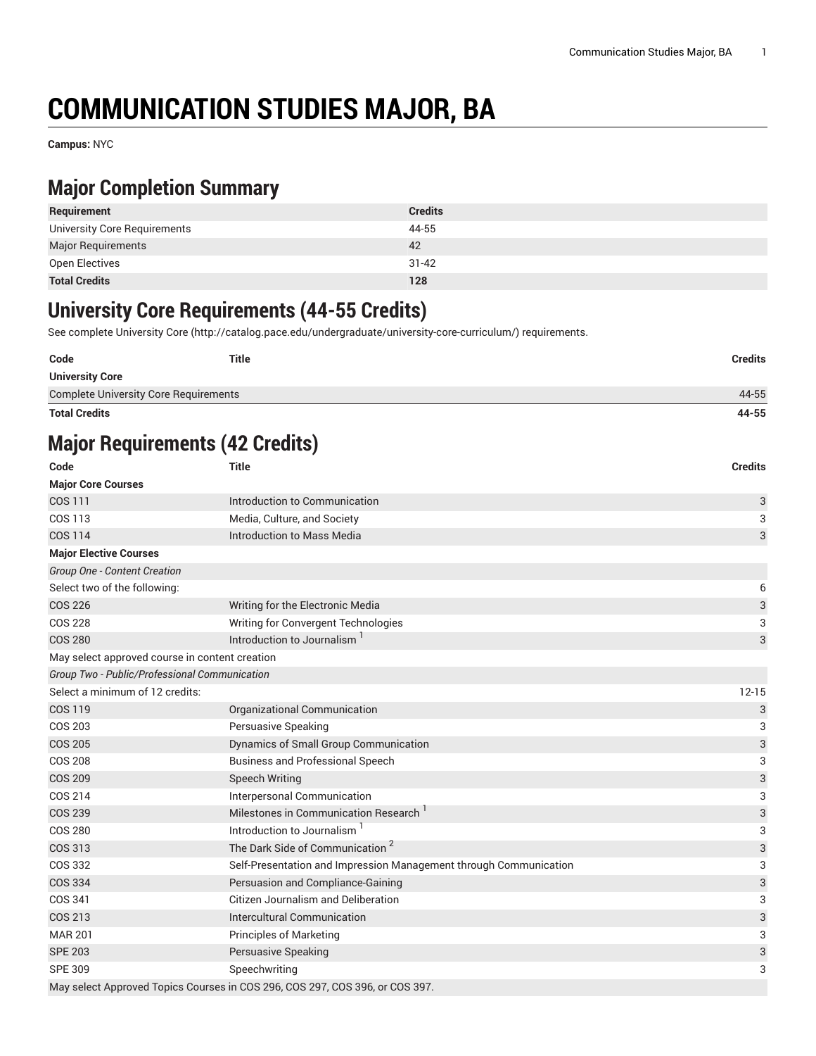# **COMMUNICATION STUDIES MAJOR, BA**

**Campus:** NYC

#### **Major Completion Summary**

| Requirement                  | <b>Credits</b> |
|------------------------------|----------------|
| University Core Requirements | 44-55          |
| <b>Major Requirements</b>    | 42             |
| Open Electives               | $31 - 42$      |
| <b>Total Credits</b>         | 128            |

#### **University Core Requirements (44-55 Credits)**

See complete [University](http://catalog.pace.edu/undergraduate/university-core-curriculum/) Core (<http://catalog.pace.edu/undergraduate/university-core-curriculum/>) requirements.

| Code                                         | <b>Title</b> | Credits |
|----------------------------------------------|--------------|---------|
| <b>University Core</b>                       |              |         |
| <b>Complete University Core Requirements</b> |              | 44-55   |

**Total Credits 44-55**

## **Major Requirements (42 Credits)**

| Code                                           | <b>Title</b>                                                                 |           |  |
|------------------------------------------------|------------------------------------------------------------------------------|-----------|--|
| <b>Major Core Courses</b>                      |                                                                              |           |  |
| COS 111                                        | Introduction to Communication                                                |           |  |
| COS 113                                        | Media, Culture, and Society                                                  |           |  |
| <b>COS 114</b>                                 | Introduction to Mass Media                                                   | 3         |  |
| <b>Major Elective Courses</b>                  |                                                                              |           |  |
| Group One - Content Creation                   |                                                                              |           |  |
| Select two of the following:                   |                                                                              | 6         |  |
| <b>COS 226</b>                                 | Writing for the Electronic Media                                             | 3         |  |
| <b>COS 228</b>                                 | Writing for Convergent Technologies                                          | 3         |  |
| <b>COS 280</b>                                 | Introduction to Journalism                                                   | 3         |  |
| May select approved course in content creation |                                                                              |           |  |
| Group Two - Public/Professional Communication  |                                                                              |           |  |
| Select a minimum of 12 credits:                |                                                                              | $12 - 15$ |  |
| <b>COS 119</b>                                 | Organizational Communication                                                 | 3         |  |
| <b>COS 203</b>                                 | Persuasive Speaking                                                          | 3         |  |
| <b>COS 205</b>                                 | Dynamics of Small Group Communication                                        | 3         |  |
| <b>COS 208</b>                                 | <b>Business and Professional Speech</b>                                      |           |  |
| <b>COS 209</b>                                 | <b>Speech Writing</b>                                                        |           |  |
| COS 214                                        | Interpersonal Communication                                                  |           |  |
| <b>COS 239</b>                                 | Milestones in Communication Research                                         |           |  |
| <b>COS 280</b>                                 | Introduction to Journalism                                                   |           |  |
| COS 313                                        | The Dark Side of Communication <sup>2</sup>                                  | 3         |  |
| COS 332                                        | Self-Presentation and Impression Management through Communication            |           |  |
| <b>COS 334</b>                                 | Persuasion and Compliance-Gaining                                            |           |  |
| COS 341                                        | <b>Citizen Journalism and Deliberation</b>                                   |           |  |
| COS 213                                        | Intercultural Communication                                                  | 3         |  |
| <b>MAR 201</b>                                 | <b>Principles of Marketing</b>                                               | 3         |  |
| <b>SPE 203</b>                                 | Persuasive Speaking                                                          |           |  |
| <b>SPE 309</b>                                 | Speechwriting                                                                | 3         |  |
|                                                | May select Approved Topics Courses in COS 296, COS 297, COS 396, or COS 397. |           |  |